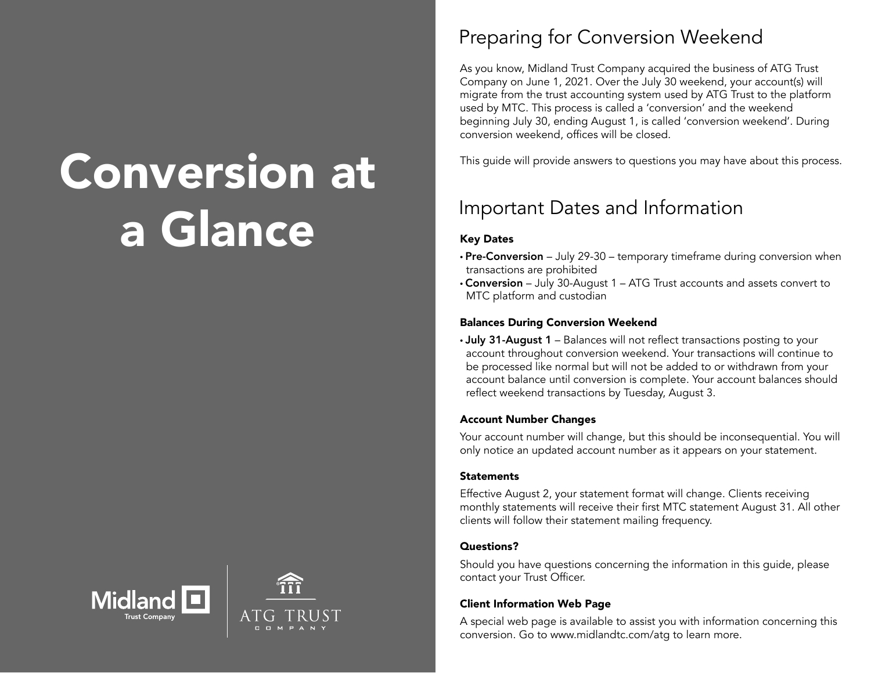# Conversion at a Glance





### Preparing for Conversion Weekend

As you know, Midland Trust Company acquired the business of ATG Trust Company on June 1, 2021. Over the July 30 weekend, your account(s) will migrate from the trust accounting system used by ATG Trust to the platform used by MTC. This process is called a 'conversion' and the weekend beginning July 30, ending August 1, is called 'conversion weekend'. During conversion weekend, offices will be closed.

This guide will provide answers to questions you may have about this process.

## Important Dates and Information

#### Key Dates

- Pre-Conversion July 29-30 temporary timeframe during conversion when transactions are prohibited
- Conversion July 30-August 1 ATG Trust accounts and assets convert to MTC platform and custodian

#### Balances During Conversion Weekend

• July 31-August 1 – Balances will not reflect transactions posting to your account throughout conversion weekend. Your transactions will continue to be processed like normal but will not be added to or withdrawn from your account balance until conversion is complete. Your account balances should reflect weekend transactions by Tuesday, August 3.

#### Account Number Changes

Your account number will change, but this should be inconsequential. You will only notice an updated account number as it appears on your statement.

#### **Statements**

Effective August 2, your statement format will change. Clients receiving monthly statements will receive their first MTC statement August 31. All other clients will follow their statement mailing frequency.

#### Questions?

Should you have questions concerning the information in this guide, please contact your Trust Officer.

#### Client Information Web Page

A special web page is available to assist you with information concerning this conversion. Go to www.midlandtc.com/atg to learn more.